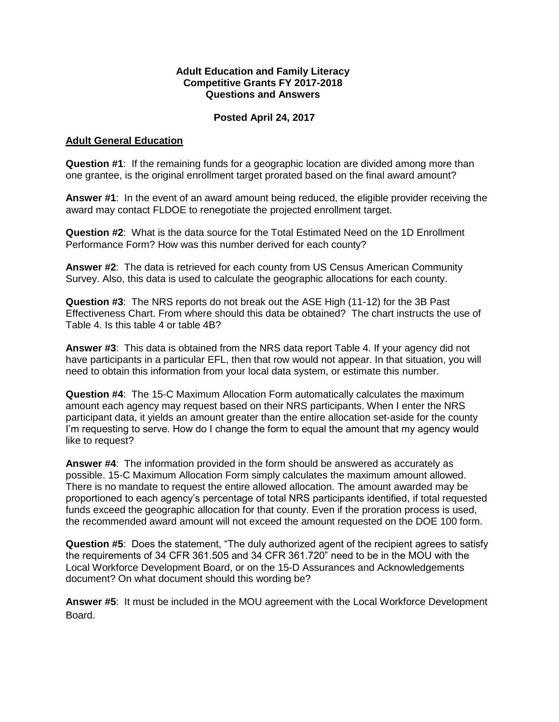## **Adult Education and Family Literacy Competitive Grants FY 2017-2018 Questions and Answers**

## **Posted April 24, 2017**

## **Adult General Education**

**Question #1**: If the remaining funds for a geographic location are divided among more than one grantee, is the original enrollment target prorated based on the final award amount?

**Answer #1**: In the event of an award amount being reduced, the eligible provider receiving the award may contact FLDOE to renegotiate the projected enrollment target.

**Question #2**: What is the data source for the Total Estimated Need on the 1D Enrollment Performance Form? How was this number derived for each county?

**Answer #2**: The data is retrieved for each county from US Census American Community Survey. Also, this data is used to calculate the geographic allocations for each county.

**Question #3**: The NRS reports do not break out the ASE High (11-12) for the 3B Past Effectiveness Chart. From where should this data be obtained? The chart instructs the use of Table 4. Is this table 4 or table 4B?

**Answer #3**: This data is obtained from the NRS data report Table 4. If your agency did not have participants in a particular EFL, then that row would not appear. In that situation, you will need to obtain this information from your local data system, or estimate this number.

**Question #4**: The 15-C Maximum Allocation Form automatically calculates the maximum amount each agency may request based on their NRS participants. When I enter the NRS participant data, it yields an amount greater than the entire allocation set-aside for the county I'm requesting to serve. How do I change the form to equal the amount that my agency would like to request?

**Answer #4**: The information provided in the form should be answered as accurately as possible. 15-C Maximum Allocation Form simply calculates the maximum amount allowed. There is no mandate to request the entire allowed allocation. The amount awarded may be proportioned to each agency's percentage of total NRS participants identified, if total requested funds exceed the geographic allocation for that county. Even if the proration process is used, the recommended award amount will not exceed the amount requested on the DOE 100 form.

**Question #5**: Does the statement, "The duly authorized agent of the recipient agrees to satisfy the requirements of 34 CFR 361.505 and 34 CFR 361.720" need to be in the MOU with the Local Workforce Development Board, or on the 15-D Assurances and Acknowledgements document? On what document should this wording be?

**Answer #5**: It must be included in the MOU agreement with the Local Workforce Development Board.